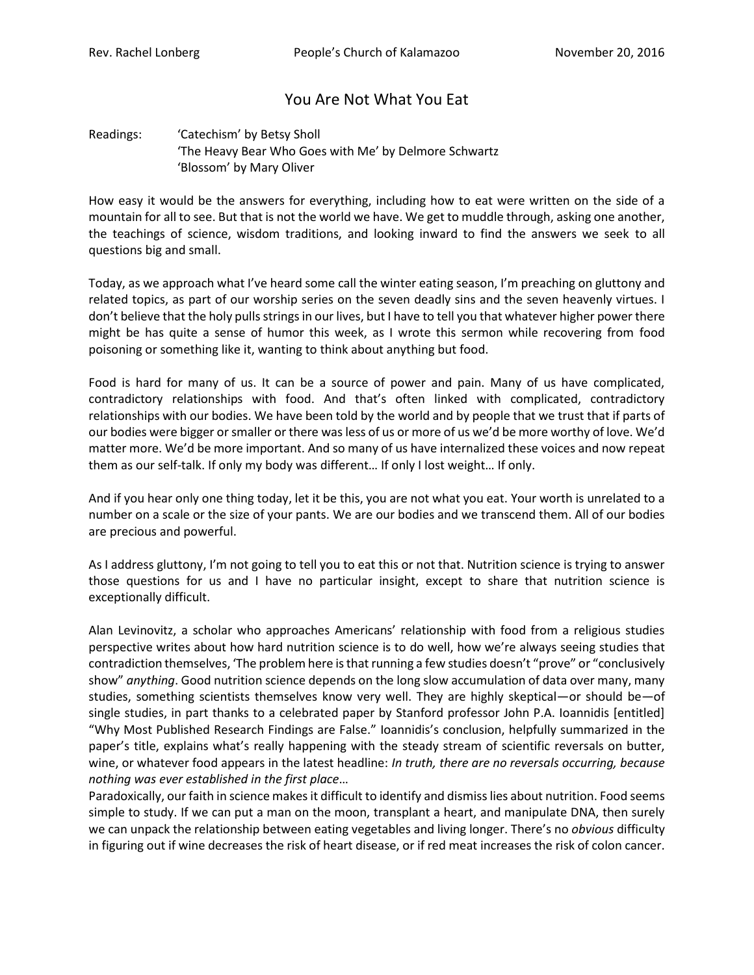## You Are Not What You Eat

## Readings: 'Catechism' by Betsy Sholl 'The Heavy Bear Who Goes with Me' by Delmore Schwartz 'Blossom' by Mary Oliver

How easy it would be the answers for everything, including how to eat were written on the side of a mountain for all to see. But that is not the world we have. We get to muddle through, asking one another, the teachings of science, wisdom traditions, and looking inward to find the answers we seek to all questions big and small.

Today, as we approach what I've heard some call the winter eating season, I'm preaching on gluttony and related topics, as part of our worship series on the seven deadly sins and the seven heavenly virtues. I don't believe that the holy pulls strings in our lives, but I have to tell you that whatever higher power there might be has quite a sense of humor this week, as I wrote this sermon while recovering from food poisoning or something like it, wanting to think about anything but food.

Food is hard for many of us. It can be a source of power and pain. Many of us have complicated, contradictory relationships with food. And that's often linked with complicated, contradictory relationships with our bodies. We have been told by the world and by people that we trust that if parts of our bodies were bigger or smaller or there was less of us or more of us we'd be more worthy of love. We'd matter more. We'd be more important. And so many of us have internalized these voices and now repeat them as our self-talk. If only my body was different… If only I lost weight… If only.

And if you hear only one thing today, let it be this, you are not what you eat. Your worth is unrelated to a number on a scale or the size of your pants. We are our bodies and we transcend them. All of our bodies are precious and powerful.

As I address gluttony, I'm not going to tell you to eat this or not that. Nutrition science is trying to answer those questions for us and I have no particular insight, except to share that nutrition science is exceptionally difficult.

Alan Levinovitz, a scholar who approaches Americans' relationship with food from a religious studies perspective writes about how hard nutrition science is to do well, how we're always seeing studies that contradiction themselves, 'The problem here is that running a few studies doesn't "prove" or "conclusively show" *anything*. Good nutrition science depends on the long slow accumulation of data over many, many studies, something scientists themselves know very well. They are highly skeptical—or should be—of single studies, in part thanks to a celebrated paper by Stanford professor John P.A. Ioannidis [entitled] "Why Most Published Research Findings are False." Ioannidis's conclusion, helpfully summarized in the paper's title, explains what's really happening with the steady stream of scientific reversals on butter, wine, or whatever food appears in the latest headline: *In truth, there are no reversals occurring, because nothing was ever established in the first place*…

Paradoxically, our faith in science makes it difficult to identify and dismiss lies about nutrition. Food seems simple to study. If we can put a man on the moon, transplant a heart, and manipulate DNA, then surely we can unpack the relationship between eating vegetables and living longer. There's no *obvious* difficulty in figuring out if wine decreases the risk of heart disease, or if red meat increases the risk of colon cancer.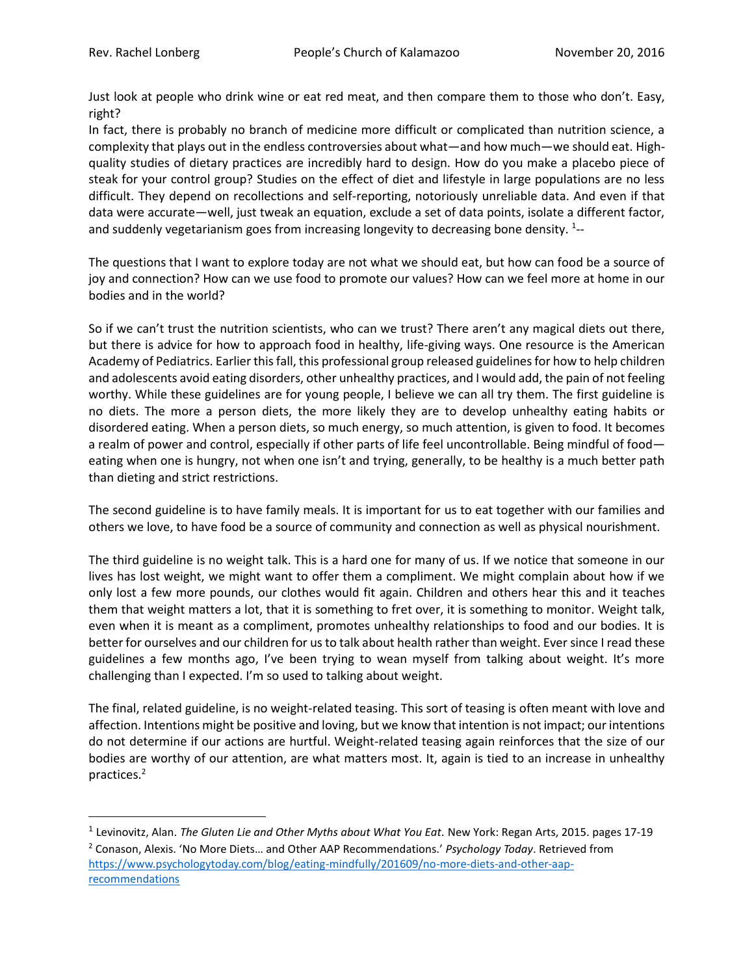$\overline{\phantom{a}}$ 

Just look at people who drink wine or eat red meat, and then compare them to those who don't. Easy, right?

In fact, there is probably no branch of medicine more difficult or complicated than nutrition science, a complexity that plays out in the endless controversies about what—and how much—we should eat. Highquality studies of dietary practices are incredibly hard to design. How do you make a placebo piece of steak for your control group? Studies on the effect of diet and lifestyle in large populations are no less difficult. They depend on recollections and self-reporting, notoriously unreliable data. And even if that data were accurate—well, just tweak an equation, exclude a set of data points, isolate a different factor, and suddenly vegetarianism goes from increasing longevity to decreasing bone density.  $^{1}$ --

The questions that I want to explore today are not what we should eat, but how can food be a source of joy and connection? How can we use food to promote our values? How can we feel more at home in our bodies and in the world?

So if we can't trust the nutrition scientists, who can we trust? There aren't any magical diets out there, but there is advice for how to approach food in healthy, life-giving ways. One resource is the American Academy of Pediatrics. Earlier this fall, this professional group released guidelines for how to help children and adolescents avoid eating disorders, other unhealthy practices, and I would add, the pain of not feeling worthy. While these guidelines are for young people, I believe we can all try them. The first guideline is no diets. The more a person diets, the more likely they are to develop unhealthy eating habits or disordered eating. When a person diets, so much energy, so much attention, is given to food. It becomes a realm of power and control, especially if other parts of life feel uncontrollable. Being mindful of food eating when one is hungry, not when one isn't and trying, generally, to be healthy is a much better path than dieting and strict restrictions.

The second guideline is to have family meals. It is important for us to eat together with our families and others we love, to have food be a source of community and connection as well as physical nourishment.

The third guideline is no weight talk. This is a hard one for many of us. If we notice that someone in our lives has lost weight, we might want to offer them a compliment. We might complain about how if we only lost a few more pounds, our clothes would fit again. Children and others hear this and it teaches them that weight matters a lot, that it is something to fret over, it is something to monitor. Weight talk, even when it is meant as a compliment, promotes unhealthy relationships to food and our bodies. It is better for ourselves and our children for us to talk about health rather than weight. Ever since I read these guidelines a few months ago, I've been trying to wean myself from talking about weight. It's more challenging than I expected. I'm so used to talking about weight.

The final, related guideline, is no weight-related teasing. This sort of teasing is often meant with love and affection. Intentions might be positive and loving, but we know that intention is not impact; our intentions do not determine if our actions are hurtful. Weight-related teasing again reinforces that the size of our bodies are worthy of our attention, are what matters most. It, again is tied to an increase in unhealthy practices.<sup>2</sup>

<sup>1</sup> Levinovitz, Alan. *The Gluten Lie and Other Myths about What You Eat.* New York: Regan Arts, 2015. pages 17-19 <sup>2</sup> Conason, Alexis. 'No More Diets… and Other AAP Recommendations.' *Psychology Today*. Retrieved from [https://www.psychologytoday.com/blog/eating-mindfully/201609/no-more-diets-and-other-aap](https://www.psychologytoday.com/blog/eating-mindfully/201609/no-more-diets-and-other-aap-recommendations)**[recommendations](https://www.psychologytoday.com/blog/eating-mindfully/201609/no-more-diets-and-other-aap-recommendations)**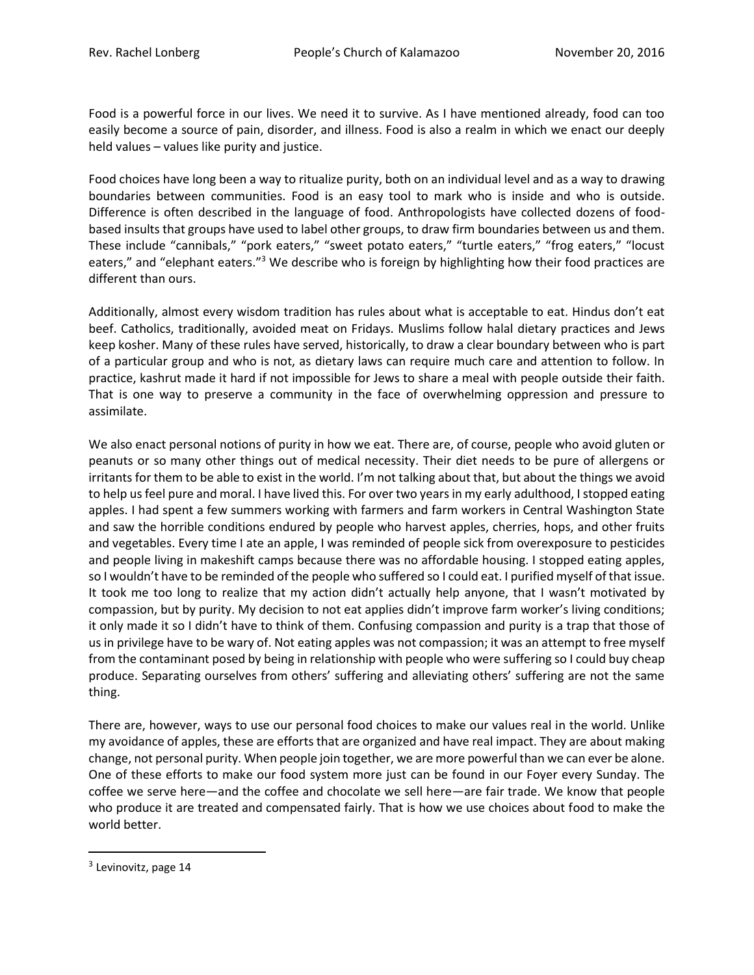Food is a powerful force in our lives. We need it to survive. As I have mentioned already, food can too easily become a source of pain, disorder, and illness. Food is also a realm in which we enact our deeply held values – values like purity and justice.

Food choices have long been a way to ritualize purity, both on an individual level and as a way to drawing boundaries between communities. Food is an easy tool to mark who is inside and who is outside. Difference is often described in the language of food. Anthropologists have collected dozens of foodbased insults that groups have used to label other groups, to draw firm boundaries between us and them. These include "cannibals," "pork eaters," "sweet potato eaters," "turtle eaters," "frog eaters," "locust eaters," and "elephant eaters."<sup>3</sup> We describe who is foreign by highlighting how their food practices are different than ours.

Additionally, almost every wisdom tradition has rules about what is acceptable to eat. Hindus don't eat beef. Catholics, traditionally, avoided meat on Fridays. Muslims follow halal dietary practices and Jews keep kosher. Many of these rules have served, historically, to draw a clear boundary between who is part of a particular group and who is not, as dietary laws can require much care and attention to follow. In practice, kashrut made it hard if not impossible for Jews to share a meal with people outside their faith. That is one way to preserve a community in the face of overwhelming oppression and pressure to assimilate.

We also enact personal notions of purity in how we eat. There are, of course, people who avoid gluten or peanuts or so many other things out of medical necessity. Their diet needs to be pure of allergens or irritants for them to be able to exist in the world. I'm not talking about that, but about the things we avoid to help us feel pure and moral. I have lived this. For over two years in my early adulthood, I stopped eating apples. I had spent a few summers working with farmers and farm workers in Central Washington State and saw the horrible conditions endured by people who harvest apples, cherries, hops, and other fruits and vegetables. Every time I ate an apple, I was reminded of people sick from overexposure to pesticides and people living in makeshift camps because there was no affordable housing. I stopped eating apples, so I wouldn't have to be reminded of the people who suffered so I could eat. I purified myself of that issue. It took me too long to realize that my action didn't actually help anyone, that I wasn't motivated by compassion, but by purity. My decision to not eat applies didn't improve farm worker's living conditions; it only made it so I didn't have to think of them. Confusing compassion and purity is a trap that those of us in privilege have to be wary of. Not eating apples was not compassion; it was an attempt to free myself from the contaminant posed by being in relationship with people who were suffering so I could buy cheap produce. Separating ourselves from others' suffering and alleviating others' suffering are not the same thing.

There are, however, ways to use our personal food choices to make our values real in the world. Unlike my avoidance of apples, these are efforts that are organized and have real impact. They are about making change, not personal purity. When people join together, we are more powerful than we can ever be alone. One of these efforts to make our food system more just can be found in our Foyer every Sunday. The coffee we serve here—and the coffee and chocolate we sell here—are fair trade. We know that people who produce it are treated and compensated fairly. That is how we use choices about food to make the world better.

 $\overline{\phantom{a}}$ 

<sup>&</sup>lt;sup>3</sup> Levinovitz, page 14